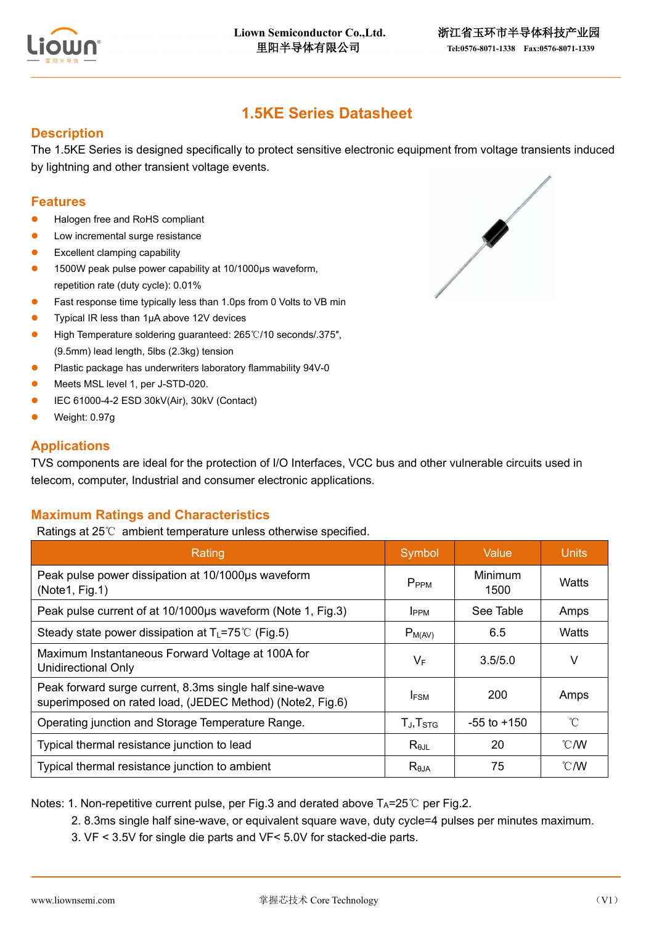

# **1.5KE Series Datasheet**

## **Description**

The 1.5KE Series is designed specifically to protect sensitive electronic equipment from voltage transients induced by lightning and other transient voltage events.

## **Features**

- Halogen free and RoHS compliant
- Low incremental surge resistance
- Excellent clamping capability
- ⚫ 1500W peak pulse power capability at 10/1000μs waveform, repetition rate (duty cycle): 0.01%
- Fast response time typically less than 1.0ps from 0 Volts to VB min
- ⚫ Typical IR less than 1μA above 12V devices
- ⚫ High Temperature soldering guaranteed: 265℃/10 seconds/.375″, (9.5mm) lead length, 5lbs (2.3kg) tension
- ⚫ Plastic package has underwriters laboratory flammability 94V-0
- ⚫ Meets MSL level 1, per J-STD-020.
- ⚫ IEC 61000-4-2 ESD 30kV(Air), 30kV (Contact)
- ⚫ Weight: 0.97g

## **Applications**

TVS components are ideal for the protection of I/O Interfaces, VCC bus and other vulnerable circuits used in telecom, computer, Industrial and consumer electronic applications.

## **Maximum Ratings and Characteristics**

Ratings at 25℃ ambient temperature unless otherwise specified.

| Rating                                                                                                               | Symbol            | Value           | <b>Units</b>  |
|----------------------------------------------------------------------------------------------------------------------|-------------------|-----------------|---------------|
| Peak pulse power dissipation at 10/1000µs waveform<br>(Note1, Fig.1)                                                 | P <sub>PPM</sub>  | Minimum<br>1500 | Watts         |
| Peak pulse current of at 10/1000µs waveform (Note 1, Fig.3)                                                          | <b>I</b> PPM      | See Table       | Amps          |
| Steady state power dissipation at $T_L = 75^{\circ}C$ (Fig.5)                                                        | $P_{M(AV)}$       | 6.5             | Watts         |
| Maximum Instantaneous Forward Voltage at 100A for<br><b>Unidirectional Only</b>                                      | $V_F$             | 3.5/5.0         | V             |
| Peak forward surge current, 8.3ms single half sine-wave<br>superimposed on rated load, (JEDEC Method) (Note2, Fig.6) | <b>IFSM</b>       | 200             | Amps          |
| Operating junction and Storage Temperature Range.                                                                    | $T_J$ , $T_{STG}$ | $-55$ to $+150$ | $^{\circ}C$   |
| Typical thermal resistance junction to lead                                                                          | $R_{\theta$ JL    | 20              | $\degree$ C/W |
| Typical thermal resistance junction to ambient                                                                       | $R_{\theta$ JA    | 75              | $\degree$ C/W |

Notes: 1. Non-repetitive current pulse, per Fig.3 and derated above  $T_A = 25^\circ \text{C}$  per Fig.2.

- 2. 8.3ms single half sine-wave, or equivalent square wave, duty cycle=4 pulses per minutes maximum.
- 3. VF < 3.5V for single die parts and VF< 5.0V for stacked-die parts.

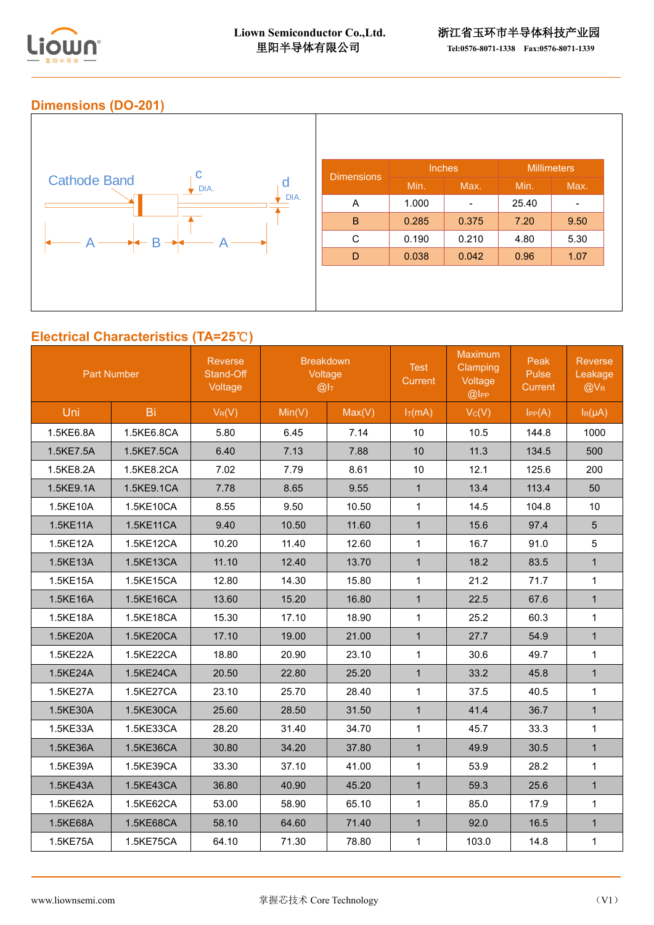

## **Dimensions (DO-201)**



# **Electrical Characteristics (TA=25**℃**)**

|           | <b>Breakdown</b><br>Reverse<br>Stand-Off<br>Voltage<br>Voltage<br>@I <sub>T</sub> |          | <b>Part Number</b> |        | <b>Test</b><br><b>Current</b> | <b>Maximum</b><br>Clamping<br>Voltage<br>@ | Peak<br>Pulse<br>Current | Reverse<br>Leakage<br>$@V_{R}$ |
|-----------|-----------------------------------------------------------------------------------|----------|--------------------|--------|-------------------------------|--------------------------------------------|--------------------------|--------------------------------|
| Uni       | Bi                                                                                | $V_R(V)$ | Min(V)             | Max(V) | $I_T(mA)$                     | $V_C(V)$                                   | $I_{PP}(A)$              | $I_R(\mu A)$                   |
| 1.5KE6.8A | 1.5KE6.8CA                                                                        | 5.80     | 6.45               | 7.14   | 10                            | 10.5                                       | 144.8                    | 1000                           |
| 1.5KE7.5A | 1.5KE7.5CA                                                                        | 6.40     | 7.13               | 7.88   | 10                            | 11.3                                       | 134.5                    | 500                            |
| 1.5KE8.2A | 1.5KE8.2CA                                                                        | 7.02     | 7.79               | 8.61   | 10                            | 12.1                                       | 125.6                    | 200                            |
| 1.5KE9.1A | 1.5KE9.1CA                                                                        | 7.78     | 8.65               | 9.55   | $\mathbf{1}$                  | 13.4                                       | 113.4                    | 50                             |
| 1.5KE10A  | 1.5KE10CA                                                                         | 8.55     | 9.50               | 10.50  | $\mathbf{1}$                  | 14.5                                       | 104.8                    | 10                             |
| 1.5KE11A  | 1.5KE11CA                                                                         | 9.40     | 10.50              | 11.60  | $\mathbf{1}$                  | 15.6                                       | 97.4                     | $5\phantom{.0}$                |
| 1.5KE12A  | 1.5KE12CA                                                                         | 10.20    | 11.40              | 12.60  | $\mathbf{1}$                  | 16.7                                       | 91.0                     | 5                              |
| 1.5KE13A  | 1.5KE13CA                                                                         | 11.10    | 12.40              | 13.70  | $\mathbf{1}$                  | 18.2                                       | 83.5                     | $\mathbf{1}$                   |
| 1.5KE15A  | 1.5KE15CA                                                                         | 12.80    | 14.30              | 15.80  | $\mathbf{1}$                  | 21.2                                       | 71.7                     | $\mathbf{1}$                   |
| 1.5KE16A  | 1.5KE16CA                                                                         | 13.60    | 15.20              | 16.80  | $\mathbf{1}$                  | 22.5                                       | 67.6                     | $\mathbf{1}$                   |
| 1.5KE18A  | 1.5KE18CA                                                                         | 15.30    | 17.10              | 18.90  | $\mathbf{1}$                  | 25.2                                       | 60.3                     | $\mathbf{1}$                   |
| 1.5KE20A  | 1.5KE20CA                                                                         | 17.10    | 19.00              | 21.00  | $\mathbf{1}$                  | 27.7                                       | 54.9                     | $\mathbf{1}$                   |
| 1.5KE22A  | 1.5KE22CA                                                                         | 18.80    | 20.90              | 23.10  | $\mathbf{1}$                  | 30.6                                       | 49.7                     | $\mathbf{1}$                   |
| 1.5KE24A  | 1.5KE24CA                                                                         | 20.50    | 22.80              | 25.20  | $\mathbf{1}$                  | 33.2                                       | 45.8                     | $\mathbf{1}$                   |
| 1.5KE27A  | 1.5KE27CA                                                                         | 23.10    | 25.70              | 28.40  | $\mathbf{1}$                  | 37.5                                       | 40.5                     | $\mathbf{1}$                   |
| 1.5KE30A  | 1.5KE30CA                                                                         | 25.60    | 28.50              | 31.50  | $\mathbf{1}$                  | 41.4                                       | 36.7                     | $\mathbf{1}$                   |
| 1.5KE33A  | 1.5KE33CA                                                                         | 28.20    | 31.40              | 34.70  | $\mathbf{1}$                  | 45.7                                       | 33.3                     | $\mathbf{1}$                   |
| 1.5KE36A  | 1.5KE36CA                                                                         | 30.80    | 34.20              | 37.80  | $\mathbf{1}$                  | 49.9                                       | 30.5                     | $\mathbf{1}$                   |
| 1.5KE39A  | 1.5KE39CA                                                                         | 33.30    | 37.10              | 41.00  | $\mathbf{1}$                  | 53.9                                       | 28.2                     | $\mathbf{1}$                   |
| 1.5KE43A  | 1.5KE43CA                                                                         | 36.80    | 40.90              | 45.20  | $\mathbf{1}$                  | 59.3                                       | 25.6                     | $\mathbf{1}$                   |
| 1.5KE62A  | 1.5KE62CA                                                                         | 53.00    | 58.90              | 65.10  | $\mathbf{1}$                  | 85.0                                       | 17.9                     | $\mathbf 1$                    |
| 1.5KE68A  | 1.5KE68CA                                                                         | 58.10    | 64.60              | 71.40  | $\mathbf{1}$                  | 92.0                                       | 16.5                     | $\mathbf{1}$                   |
| 1.5KE75A  | 1.5KE75CA                                                                         | 64.10    | 71.30              | 78.80  | $\mathbf{1}$                  | 103.0                                      | 14.8                     | $\mathbf{1}$                   |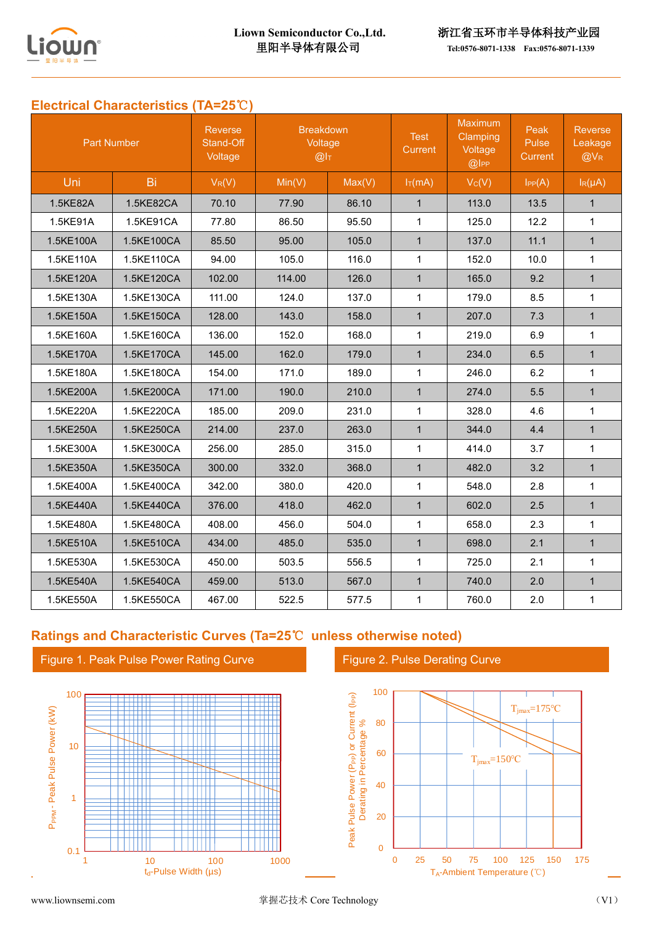

# **Electrical Characteristics (TA=25**℃**)**

| <b>Part Number</b> |            | <b>Reverse</b><br>Stand-Off<br>Voltage | <b>Breakdown</b><br>Voltage<br>@I <sub>T</sub> |        | <b>Test</b><br><b>Current</b> | <b>Maximum</b><br>Clamping<br>Voltage<br>@ | Peak<br><b>Pulse</b><br>Current | <b>Reverse</b><br>Leakage<br>$@V_{R}$ |
|--------------------|------------|----------------------------------------|------------------------------------------------|--------|-------------------------------|--------------------------------------------|---------------------------------|---------------------------------------|
| Uni                | Bi         | $V_R(V)$                               | Min(V)                                         | Max(V) | $I_T(mA)$                     | Vc(V)                                      | IPP(A)                          | $I_R(\mu A)$                          |
| 1.5KE82A           | 1.5KE82CA  | 70.10                                  | 77.90                                          | 86.10  | $\mathbf{1}$                  | 113.0                                      | 13.5                            | $\mathbf{1}$                          |
| 1.5KE91A           | 1.5KE91CA  | 77.80                                  | 86.50                                          | 95.50  | $\mathbf{1}$                  | 125.0                                      | 12.2                            | $\mathbf{1}$                          |
| 1.5KE100A          | 1.5KE100CA | 85.50                                  | 95.00                                          | 105.0  | $\mathbf{1}$                  | 137.0                                      | 11.1                            | $\mathbf{1}$                          |
| 1.5KE110A          | 1.5KE110CA | 94.00                                  | 105.0                                          | 116.0  | $\mathbf{1}$                  | 152.0                                      | 10.0                            | $\mathbf{1}$                          |
| 1.5KE120A          | 1.5KE120CA | 102.00                                 | 114.00                                         | 126.0  | $\mathbf{1}$                  | 165.0                                      | 9.2                             | $\mathbf{1}$                          |
| 1.5KE130A          | 1.5KE130CA | 111.00                                 | 124.0                                          | 137.0  | $\mathbf{1}$                  | 179.0                                      | 8.5                             | $\mathbf{1}$                          |
| 1.5KE150A          | 1.5KE150CA | 128.00                                 | 143.0                                          | 158.0  | $\mathbf{1}$                  | 207.0                                      | 7.3                             | $\mathbf{1}$                          |
| 1.5KE160A          | 1.5KE160CA | 136.00                                 | 152.0                                          | 168.0  | $\mathbf{1}$                  | 219.0                                      | 6.9                             | $\mathbf{1}$                          |
| 1.5KE170A          | 1.5KE170CA | 145.00                                 | 162.0                                          | 179.0  | $\mathbf{1}$                  | 234.0                                      | 6.5                             | $\mathbf{1}$                          |
| 1.5KE180A          | 1.5KE180CA | 154.00                                 | 171.0                                          | 189.0  | $\mathbf{1}$                  | 246.0                                      | 6.2                             | $\mathbf{1}$                          |
| 1.5KE200A          | 1.5KE200CA | 171.00                                 | 190.0                                          | 210.0  | $\mathbf{1}$                  | 274.0                                      | 5.5                             | $\mathbf{1}$                          |
| 1.5KE220A          | 1.5KE220CA | 185.00                                 | 209.0                                          | 231.0  | $\mathbf{1}$                  | 328.0                                      | 4.6                             | $\mathbf{1}$                          |
| 1.5KE250A          | 1.5KE250CA | 214.00                                 | 237.0                                          | 263.0  | $\mathbf{1}$                  | 344.0                                      | 4.4                             | $\mathbf{1}$                          |
| 1.5KE300A          | 1.5KE300CA | 256.00                                 | 285.0                                          | 315.0  | $\mathbf{1}$                  | 414.0                                      | 3.7                             | $\mathbf{1}$                          |
| 1.5KE350A          | 1.5KE350CA | 300.00                                 | 332.0                                          | 368.0  | $\mathbf{1}$                  | 482.0                                      | 3.2                             | $\mathbf{1}$                          |
| 1.5KE400A          | 1.5KE400CA | 342.00                                 | 380.0                                          | 420.0  | $\mathbf{1}$                  | 548.0                                      | 2.8                             | $\mathbf{1}$                          |
| 1.5KE440A          | 1.5KE440CA | 376.00                                 | 418.0                                          | 462.0  | $\mathbf{1}$                  | 602.0                                      | 2.5                             | $\mathbf{1}$                          |
| 1.5KE480A          | 1.5KE480CA | 408.00                                 | 456.0                                          | 504.0  | $\mathbf{1}$                  | 658.0                                      | 2.3                             | $\mathbf{1}$                          |
| 1.5KE510A          | 1.5KE510CA | 434.00                                 | 485.0                                          | 535.0  | $\mathbf{1}$                  | 698.0                                      | 2.1                             | $\mathbf{1}$                          |
| 1.5KE530A          | 1.5KE530CA | 450.00                                 | 503.5                                          | 556.5  | $\mathbf{1}$                  | 725.0                                      | 2.1                             | $\mathbf{1}$                          |
| 1.5KE540A          | 1.5KE540CA | 459.00                                 | 513.0                                          | 567.0  | $\mathbf{1}$                  | 740.0                                      | 2.0                             | $\mathbf{1}$                          |
| 1.5KE550A          | 1.5KE550CA | 467.00                                 | 522.5                                          | 577.5  | $\mathbf{1}$                  | 760.0                                      | 2.0                             | $\mathbf{1}$                          |

# **Ratings and Characteristic Curves (Ta=25**℃ **unless otherwise noted)**

Figure 1. Peak Pulse Power Rating Curve



Figure 2. Pulse Derating Curve

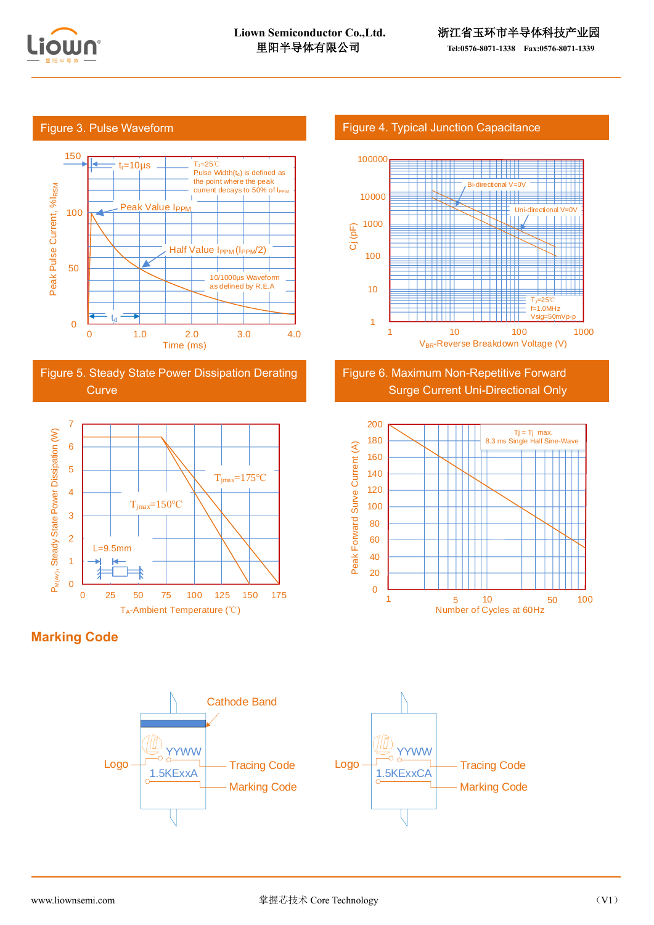

#### Figure 3. Pulse Waveform



Figure 5. Steady State Power Dissipation Derating **Curve** 



**Marking Code**



#### Figure 4. Typical Junction Capacitance



## Figure 6. Maximum Non-Repetitive Forward Surge Current Uni-Directional Only

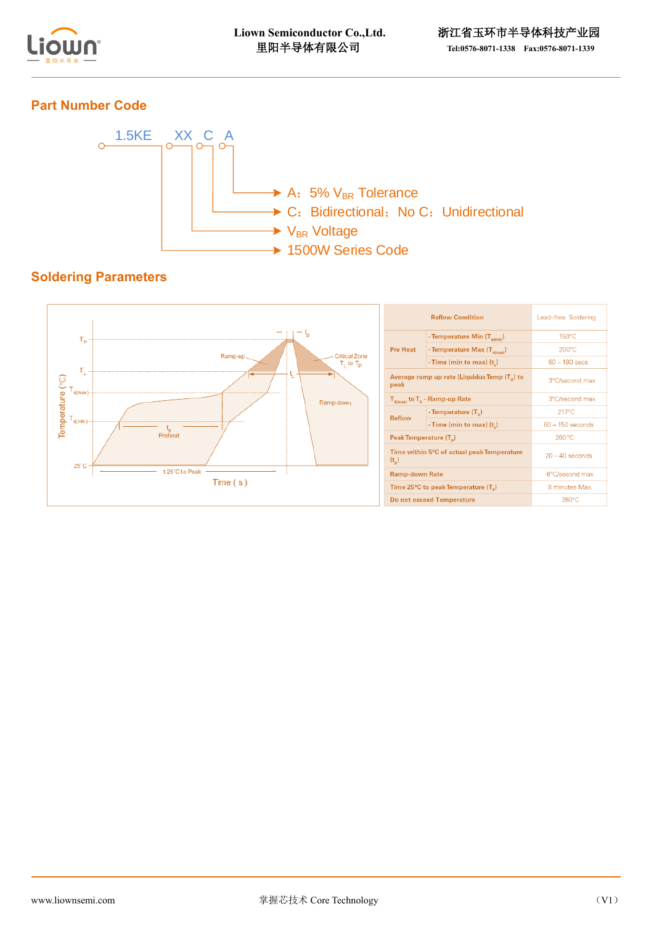

# **Part Number Code**